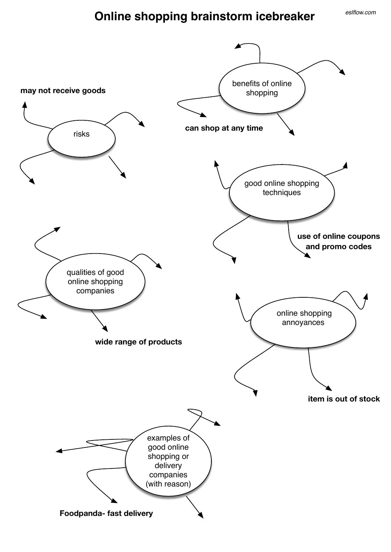## **Online shopping brainstorm icebreaker**

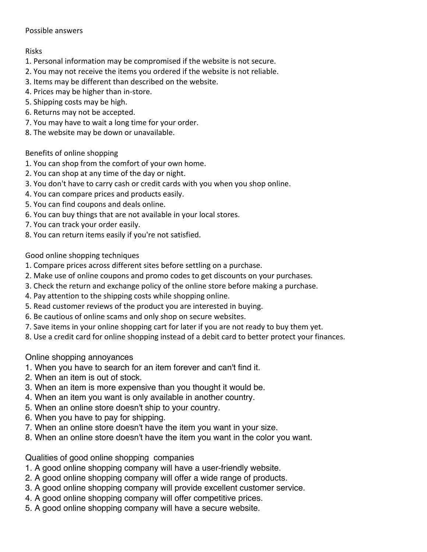## Possible answers

## Risks

- 1. Personal information may be compromised if the website is not secure.
- 2. You may not receive the items you ordered if the website is not reliable.
- 3. Items may be different than described on the website.
- 4. Prices may be higher than in-store.
- 5. Shipping costs may be high.
- 6. Returns may not be accepted.
- 7. You may have to wait a long time for your order.
- 8. The website may be down or unavailable.

## Benefits of online shopping

- 1. You can shop from the comfort of your own home.
- 2. You can shop at any time of the day or night.
- 3. You don't have to carry cash or credit cards with you when you shop online.
- 4. You can compare prices and products easily.
- 5. You can find coupons and deals online.
- 6. You can buy things that are not available in your local stores.
- 7. You can track your order easily.
- 8. You can return items easily if you're not satisfied.

Good online shopping techniques

- 1. Compare prices across different sites before settling on a purchase.
- 2. Make use of online coupons and promo codes to get discounts on your purchases.
- 3. Check the return and exchange policy of the online store before making a purchase.
- 4. Pay attention to the shipping costs while shopping online.
- 5. Read customer reviews of the product you are interested in buying.
- 6. Be cautious of online scams and only shop on secure websites.
- 7. Save items in your online shopping cart for later if you are not ready to buy them yet.
- 8. Use a credit card for online shopping instead of a debit card to better protect your finances.

Online shopping annoyances

- 1. When you have to search for an item forever and can't find it.
- 2. When an item is out of stock.
- 3. When an item is more expensive than you thought it would be.
- 4. When an item you want is only available in another country.
- 5. When an online store doesn't ship to your country.
- 6. When you have to pay for shipping.
- 7. When an online store doesn't have the item you want in your size.
- 8. When an online store doesn't have the item you want in the color you want.

Qualities of good online shopping companies

- 1. A good online shopping company will have a user-friendly website.
- 2. A good online shopping company will offer a wide range of products.
- 3. A good online shopping company will provide excellent customer service.
- 4. A good online shopping company will offer competitive prices.
- 5. A good online shopping company will have a secure website.